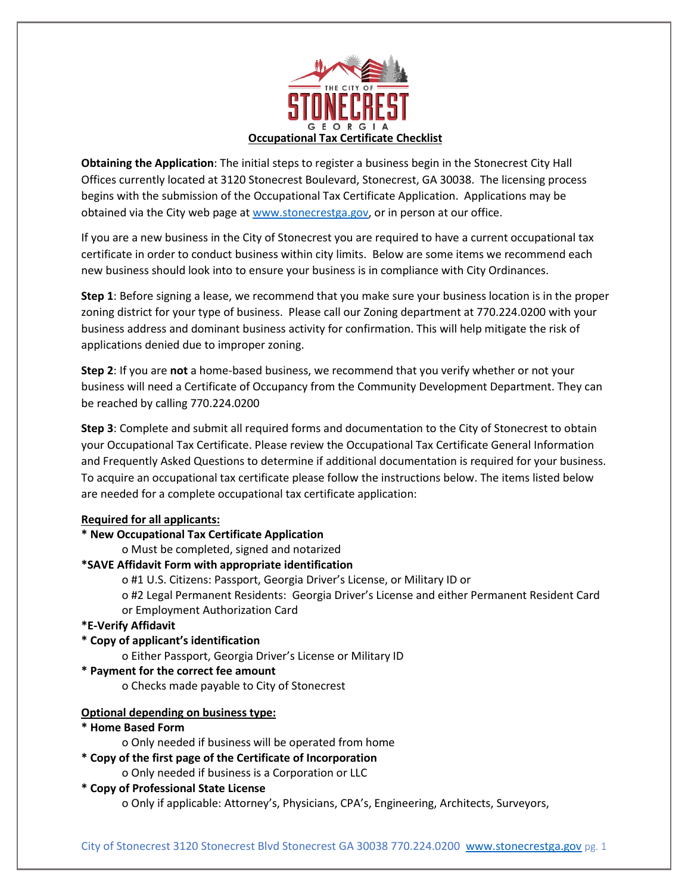

**Obtaining the Application**: The initial steps to register a business begin in the Stonecrest City Hall Offices currently located at 3120 Stonecrest Boulevard, Stonecrest, GA 30038. The licensing process begins with the submission of the Occupational Tax Certificate Application. Applications may be obtained via the City web page at [www.stonecrestga.gov,](http://www.stonecrestga.gov/) or in person at our office.

If you are a new business in the City of Stonecrest you are required to have a current occupational tax certificate in order to conduct business within city limits. Below are some items we recommend each new business should look into to ensure your business is in compliance with City Ordinances.

**Step 1**: Before signing a lease, we recommend that you make sure your business location is in the proper zoning district for your type of business. Please call our Zoning department at 770.224.0200 with your business address and dominant business activity for confirmation. This will help mitigate the risk of applications denied due to improper zoning.

**Step 2**: If you are **not** a home-based business, we recommend that you verify whether or not your business will need a Certificate of Occupancy from the Community Development Department. They can be reached by calling 770.224.0200

**Step 3**: Complete and submit all required forms and documentation to the City of Stonecrest to obtain your Occupational Tax Certificate. Please review the Occupational Tax Certificate General Information and Frequently Asked Questions to determine if additional documentation is required for your business. To acquire an occupational tax certificate please follow the instructions below. The items listed below are needed for a complete occupational tax certificate application:

## **Required for all applicants:**

## **\* New Occupational Tax Certificate Application**

o Must be completed, signed and notarized

# **\*SAVE Affidavit Form with appropriate identification**

o #1 U.S. Citizens: Passport, Georgia Driver's License, or Military ID or

o #2 Legal Permanent Residents: Georgia Driver's License and either Permanent Resident Card or Employment Authorization Card

## **\*E-Verify Affidavit**

## **\* Copy of applicant's identification**

o Either Passport, Georgia Driver's License or Military ID

## **\* Payment for the correct fee amount**

o Checks made payable to City of Stonecrest

# **Optional depending on business type:**

## **\* Home Based Form**

o Only needed if business will be operated from home

# **\* Copy of the first page of the Certificate of Incorporation**

o Only needed if business is a Corporation or LLC

# **\* Copy of Professional State License**

o Only if applicable: Attorney's, Physicians, CPA's, Engineering, Architects, Surveyors,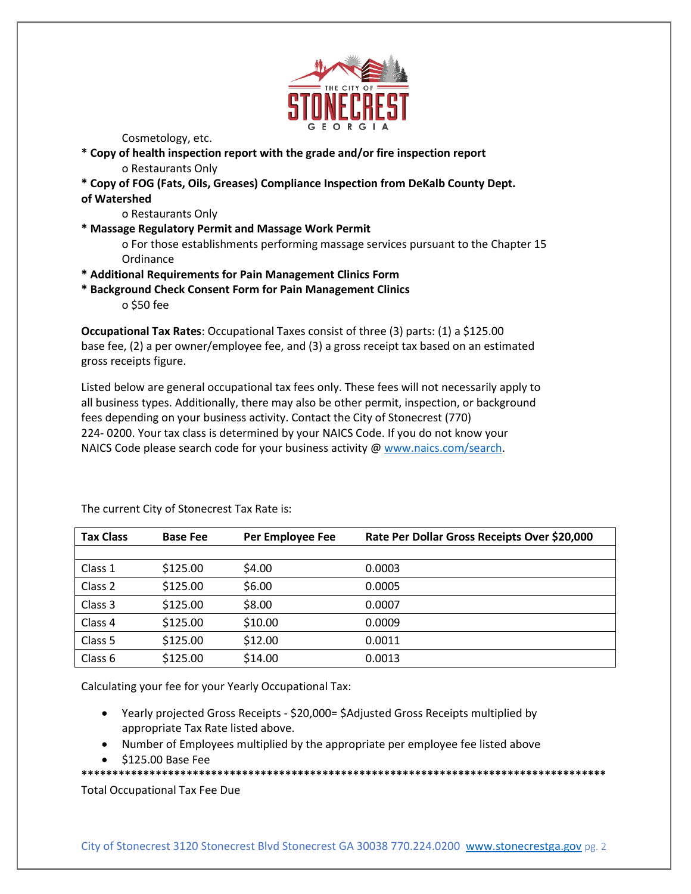

Cosmetology, etc.

- **\* Copy of health inspection report with the grade and/or fire inspection report** o Restaurants Only
- **\* Copy of FOG (Fats, Oils, Greases) Compliance Inspection from DeKalb County Dept. of Watershed**
	- o Restaurants Only
- **\* Massage Regulatory Permit and Massage Work Permit**

o For those establishments performing massage services pursuant to the Chapter 15 **Ordinance** 

- **\* Additional Requirements for Pain Management Clinics Form**
- **\* Background Check Consent Form for Pain Management Clinics**

o \$50 fee

**Occupational Tax Rates**: Occupational Taxes consist of three (3) parts: (1) a \$125.00 base fee, (2) a per owner/employee fee, and (3) a gross receipt tax based on an estimated gross receipts figure.

Listed below are general occupational tax fees only. These fees will not necessarily apply to all business types. Additionally, there may also be other permit, inspection, or background fees depending on your business activity. Contact the City of Stonecrest (770) 224- 0200. Your tax class is determined by your NAICS Code. If you do not know your NAICS Code please search code for your business activity [@ www.naics.com/search.](http://www.naics.com/search)

| <b>Tax Class</b> | <b>Base Fee</b> | Per Employee Fee | Rate Per Dollar Gross Receipts Over \$20,000 |
|------------------|-----------------|------------------|----------------------------------------------|
|                  |                 |                  |                                              |
| Class 1          | \$125.00        | \$4.00           | 0.0003                                       |
| Class 2          | \$125.00        | \$6.00           | 0.0005                                       |
| Class 3          | \$125.00        | \$8.00           | 0.0007                                       |
| Class 4          | \$125.00        | \$10.00          | 0.0009                                       |
| Class 5          | \$125.00        | \$12.00          | 0.0011                                       |
| Class 6          | \$125.00        | \$14.00          | 0.0013                                       |

The current City of Stonecrest Tax Rate is:

Calculating your fee for your Yearly Occupational Tax:

- Yearly projected Gross Receipts \$20,000= \$Adjusted Gross Receipts multiplied by appropriate Tax Rate listed above.
- Number of Employees multiplied by the appropriate per employee fee listed above
- \$125.00 Base Fee

**\*\*\*\*\*\*\*\*\*\*\*\*\*\*\*\*\*\*\*\*\*\*\*\*\*\*\*\*\*\*\*\*\*\*\*\*\*\*\*\*\*\*\*\*\*\*\*\*\*\*\*\*\*\*\*\*\*\*\*\*\*\*\*\*\*\*\*\*\*\*\*\*\*\*\*\*\*\*\*\*\*\*\*\*\***

Total Occupational Tax Fee Due